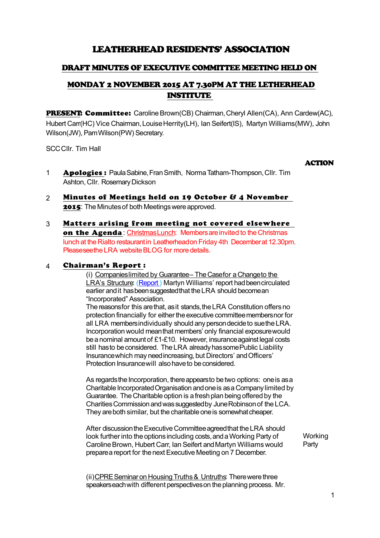# LEATHERHEAD RESIDENTS' ASSOCIATION

# DRAFT MINUTES OF EXECUTIVE COMMITTEE MEETING HELD ON

# MONDAY 2 NOVEMBER 2015 AT 7.30PM AT THE LETHERHEAD INSTITUTE

PRESENT: Committee: Caroline Brown(CB) Chairman, Cheryl Allen(CA), Ann Cardew(AC), Hubert Carr(HC) Vice Chairman, Louise Herrity(LH), Ian Seifert(IS), Martyn Williams(MW), John Wilson(JW), Pam Wilson(PW) Secretary.

SCC Cllr. Tim Hall

### ACTION

- 1 **Apologies:** Paula Sabine, Fran Smith, Norma Tatham-Thompson, Cllr. Tim Ashton, Cllr. Rosemary Dickson
- 2 Minutes of Meetings held on 19 October & 4 November 2015: The Minutes of both Meetings were approved.
- 3 Matters arising from meeting not covered elsewhere on the Agenda: Christmas Lunch: Members are invited to the Christmas lunch at the Rialto restaurant in Leatherhead on Friday 4th December at 12.30pm. Please see the LRA website BLOG for more details.

## 4 Chairman's Report :

(i) Companies limited by Guarantee - The Casefor a Changeto the LRA's Structure: (Report) Martyn Williams' report had been circulated earlier and it has been suggested that the LRA should become an "Incorporated" Association.

The reasons for this are that, as it stands, the LRA Constitution offers no protection financially for either the executive committee members nor for all LRA members individually should any person decide to sue the LRA. Incorporation would mean that members' only financial exposure would be a nominal amount of £1-£10. However, insurance against legal costs still has to be considered. The LRA already has some Public Liability Insurance which may need increasing, but Directors' and Officers' Protection Insurance will also have to be considered.

As regards the Incorporation, there appears to be two options: one is as a Charitable Incorporated Organisation and one is as a Company limited by Guarantee. The Charitable option is a fresh plan being offered by the Charities Commission and was suggested by June Robinson of the LCA. They are both similar, but the charitable one is somewhat cheaper.

After discussion the Executive Committee agreed that the LRA should look further into the options including costs, and a Working Party of Caroline Brown, Hubert Carr, Ian Seifert and Martyn Williams would prepare a report for the next Executive Meeting on 7 December.

**Working** Party

(ii)CPRE Seminar on Housing Truths & Untruths: There were three speakers each with different perspectives on the planning process. Mr.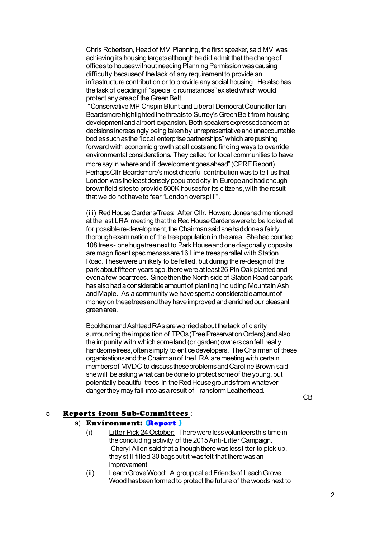Chris Robertson, Head of MV Planning, the first speaker, said MV was achieving its housing targets although he did admit that the change of offices to houses without needing Planning Permission was causing difficulty because of the lack of any requirement to provide an infrastructure contribution or to provide any social housing. He also has the task of deciding if "special circumstances" existed which would protect any area of the Green Belt.

 "Conservative MP Crispin Blunt and Liberal Democrat Councillor Ian Beardsmore highlighted the threats to Surrey's Green Belt from housing development and airport expansion. Both speakers expressed concern at decisions increasingly being taken by unrepresentative and unaccountable bodies such as the "local enterprise partnerships" which are pushing forward with economic growth at all costs and finding ways to override environmental considerations. They called for local communities to have more say in where and if development goes ahead" (CPRE Report). Perhaps Cllr Beardsmore's most cheerful contribution was to tell us that London was the least densely populated city in Europe and had enough brownfield sites to provide 500K houses for its citizens, with the result that we do not have to fear "London overspill!".

(iii) Red House Gardens/Trees After Cllr. Howard Joneshad mentioned at the last LRA meeting that the Red House Gardens were to be looked at for possible re-development, the Chairman said she had done a fairly thorough examination of the tree population in the area. She had counted 108 trees - one huge tree next to Park House and one diagonally opposite are magnificent specimens as are 16 Lime trees parallel with Station Road. These were unlikely to be felled, but during the re-design of the park about fifteen years ago, there were at least 26 Pin Oak planted and even a few pear trees. Since then the North side of Station Road car park has also had a considerable amount of planting including Mountain Ash and Maple. As a community we have spent a considerable amount of money on these trees and they have improved and enriched our pleasant green area.

Bookham and Ashtead RAs are worried about the lack of clarity surrounding the imposition of TPOs (Tree Preservation Orders) and also the impunity with which some land (or garden) owners can fell really handsome trees, often simply to entice developers. The Chairmen of these organisations and the Chairman of the LRA are meeting with certain members of MVDC to discuss these problems and Caroline Brown said she will be asking what can be done to protect some of the young, but potentially beautiful trees, in the Red House grounds from whatever danger they may fall into as a result of Transform Leatherhead.

CB

## 5 Reports from Sub-Committees :

## a) Environment: [\(Report](http://leatherheadresidents.org.uk/Reports/Environment_November_2015.pdf) )

- (i) Litter Pick 24 October: There were less volunteers this time in the concluding activity of the 2015 Anti-Litter Campaign. Cheryl Allen said that although there was less litter to pick up, they still filled 30 bags but it was felt that there was an improvement.
- (ii) Leach Grove Wood: A group called Friends of Leach Grove Wood has been formed to protect the future of the woods next to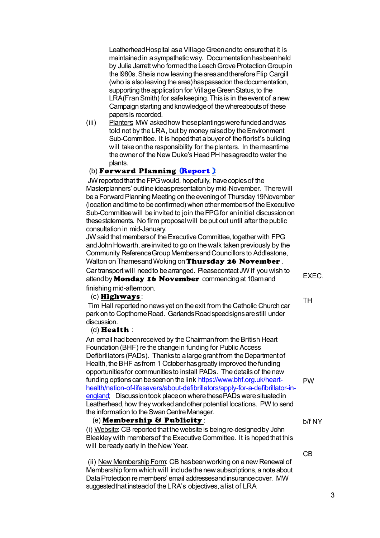Leatherhead Hospital as a Village Green and to ensure that it is maintained in a sympathetic way. Documentation has been held by Julia Jarrett who formed the Leach Grove Protection Group in the l980s. She is now leaving the area and therefore Flip Cargill (who is also leaving the area) has passed on the documentation, supporting the application for Village Green Status, to the LRA(Fran Smith) for safe keeping. This is in the event of a new Campaign starting and knowledge of the whereabouts of these papers is recorded.

(iii) Planters: MW asked how these plantings were funded and was told not by the LRA, but by money raised by the Environment Sub-Committee. It is hoped that a buyer of the florist's building will take on the responsibility for the planters. In the meantime the owner of the New Duke's Head PH has agreed to water the plants.

## (b) Forward Planning (Report):

 JW reported that the FPG would, hopefully, have copies of the Masterplanners' outline ideas presentation by mid-November. There will be a Forward Planning Meeting on the evening of Thursday 19November (location and time to be confirmed) when other members of the Executive Sub-Committee will be invited to join the FPG for an initial discussion on these statements. No firm proposal will be put out until after the public consultation in mid-January.

JW said that members of the Executive Committee, together with FPG and John Howarth, are invited to go on the walk taken previously by the Community Reference Group Members and Councillors to Addlestone, Walton on Thames and Woking on Thursday 26 November. Car transport will need to be arranged. Please contact JW if you wish to attend by **Monday 16 November** commencing at 10am and finishing mid-afternoon.

### (c) Highways :

 Tim Hall reported no news yet on the exit from the Catholic Church car park on to Copthorne Road. Garlands Road speed signs are still under discussion.

### (d) Health :

An email had been received by the Chairman from the British Heart Foundation (BHF) re the change in funding for Public Access Defibrillators (PADs). Thanks to a large grant from the Department of Health, the BHF as from 1 October has greatly improved the funding opportunities for communities to install PADs. The details of the new funding options can be seen on the link [https://www.bhf.org.uk/heart](https://www.bhf.org.uk/heart-health/nation-of-lifesavers/about-defibrillators/apply-for-a-defibrillator-in-england)[health/nation-of-lifesavers/about-defibrillators/apply-for-a-defibrillator-in](https://www.bhf.org.uk/heart-health/nation-of-lifesavers/about-defibrillators/apply-for-a-defibrillator-in-england)[england;](https://www.bhf.org.uk/heart-health/nation-of-lifesavers/about-defibrillators/apply-for-a-defibrillator-in-england) Discussion took place on where these PADs were situated in Leatherhead, how they worked and other potential locations. PW to send the information to the Swan Centre Manager.

## (e) Membership & Publicity :

(i) Website: CB reported that the website is being re-designed by John Bleakley with members of the Executive Committee. It is hoped that this will be ready early in the New Year.

 (ii) New Membership Form: CB has been working on a new Renewal of Membership form which will include the new subscriptions, a note about Data Protection re members' email addressesand insurance cover. MW suggested that instead of the LRA's objectives, a list of LRA

EXEC.

TH

b/f NY

PW

CB